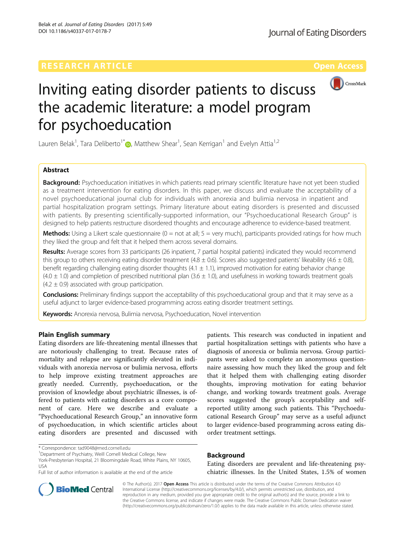

# Inviting eating disorder patients to discuss the academic literature: a model program for psychoeducation

Lauren Belak<sup>1</sup>[,](http://orcid.org/0000-0003-1919-3538) Tara Deliberto<sup>1\*</sup> (**p**, Matthew Shear<sup>1</sup>, Sean Kerrigan<sup>1</sup> and Evelyn Attia<sup>1,2</sup>

## Abstract

Background: Psychoeducation initiatives in which patients read primary scientific literature have not yet been studied as a treatment intervention for eating disorders. In this paper, we discuss and evaluate the acceptability of a novel psychoeducational journal club for individuals with anorexia and bulimia nervosa in inpatient and partial hospitalization program settings. Primary literature about eating disorders is presented and discussed with patients. By presenting scientifically-supported information, our "Psychoeducational Research Group" is designed to help patients restructure disordered thoughts and encourage adherence to evidence-based treatment.

**Methods:** Using a Likert scale questionnaire ( $0 =$  not at all;  $5 =$  very much), participants provided ratings for how much they liked the group and felt that it helped them across several domains.

Results: Average scores from 33 participants (26 inpatient, 7 partial hospital patients) indicated they would recommend this group to others receiving eating disorder treatment (4.8  $\pm$  0.6). Scores also suggested patients' likeability (4.6  $\pm$  0.8), benefit regarding challenging eating disorder thoughts  $(4.1 \pm 1.1)$ , improved motivation for eating behavior change  $(4.0 \pm 1.0)$  and completion of prescribed nutritional plan  $(3.6 \pm 1.0)$ , and usefulness in working towards treatment goals  $(4.2 \pm 0.9)$  associated with group participation.

**Conclusions:** Preliminary findings support the acceptability of this psychoeducational group and that it may serve as a useful adjunct to larger evidence-based programming across eating disorder treatment settings.

Keywords: Anorexia nervosa, Bulimia nervosa, Psychoeducation, Novel intervention

## Plain English summary

Eating disorders are life-threatening mental illnesses that are notoriously challenging to treat. Because rates of mortality and relapse are significantly elevated in individuals with anorexia nervosa or bulimia nervosa, efforts to help improve existing treatment approaches are greatly needed. Currently, psychoeducation, or the provision of knowledge about psychiatric illnesses, is offered to patients with eating disorders as a core component of care. Here we describe and evaluate a "Psychoeducational Research Group," an innovative form of psychoeducation, in which scientific articles about eating disorders are presented and discussed with

\* Correspondence: [tad9048@med.cornell.edu](mailto:tad9048@med.cornell.edu) <sup>1</sup>

patients. This research was conducted in inpatient and partial hospitalization settings with patients who have a diagnosis of anorexia or bulimia nervosa. Group participants were asked to complete an anonymous questionnaire assessing how much they liked the group and felt that it helped them with challenging eating disorder thoughts, improving motivation for eating behavior change, and working towards treatment goals. Average scores suggested the group's acceptability and selfreported utility among such patients. This "Psychoeducational Research Group" may serve as a useful adjunct to larger evidence-based programming across eating disorder treatment settings.

## Background

Eating disorders are prevalent and life-threatening psychiatric illnesses. In the United States, 1.5% of women



© The Author(s). 2017 Open Access This article is distributed under the terms of the Creative Commons Attribution 4.0 International License [\(http://creativecommons.org/licenses/by/4.0/](http://creativecommons.org/licenses/by/4.0/)), which permits unrestricted use, distribution, and reproduction in any medium, provided you give appropriate credit to the original author(s) and the source, provide a link to the Creative Commons license, and indicate if changes were made. The Creative Commons Public Domain Dedication waiver [\(http://creativecommons.org/publicdomain/zero/1.0/](http://creativecommons.org/publicdomain/zero/1.0/)) applies to the data made available in this article, unless otherwise stated.

<sup>&</sup>lt;sup>1</sup> Department of Psychiatry, Weill Cornell Medical College, New

York-Presbyterian Hospital, 21 Bloomingdale Road, White Plains, NY 10605, USA

Full list of author information is available at the end of the article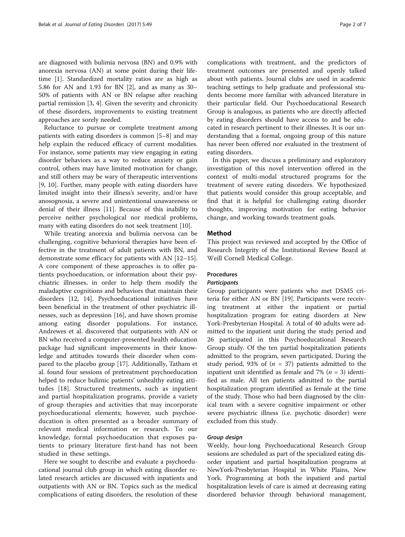are diagnosed with bulimia nervosa (BN) and 0.9% with anorexia nervosa (AN) at some point during their lifetime [\[1](#page-5-0)]. Standardized mortality ratios are as high as 5.86 for AN and 1.93 for BN [\[2](#page-5-0)], and as many as 30– 50% of patients with AN or BN relapse after reaching partial remission [\[3](#page-5-0), [4](#page-5-0)]. Given the severity and chronicity of these disorders, improvements to existing treatment approaches are sorely needed.

Reluctance to pursue or complete treatment among patients with eating disorders is common [\[5](#page-5-0)–[8](#page-5-0)] and may help explain the reduced efficacy of current modalities. For instance, some patients may view engaging in eating disorder behaviors as a way to reduce anxiety or gain control, others may have limited motivation for change, and still others may be wary of therapeutic interventions [[9, 10](#page-5-0)]. Further, many people with eating disorders have limited insight into their illness's severity, and/or have anosognosia, a severe and unintentional unawareness or denial of their illness [\[11](#page-5-0)]. Because of this inability to perceive neither psychological nor medical problems, many with eating disorders do not seek treatment [\[10](#page-5-0)].

While treating anorexia and bulimia nervosa can be challenging, cognitive behavioral therapies have been effective in the treatment of adult patients with BN, and demonstrate some efficacy for patients with AN [[12](#page-5-0)–[15](#page-5-0)]. A core component of these approaches is to offer patients psychoeducation, or information about their psychiatric illnesses, in order to help them modify the maladaptive cognitions and behaviors that maintain their disorders [[12, 14](#page-5-0)]. Psychoeducational initiatives have been beneficial in the treatment of other psychiatric illnesses, such as depression [\[16](#page-5-0)], and have shown promise among eating disorder populations. For instance, Andrewes et al. discovered that outpatients with AN or BN who received a computer-presented health education package had significant improvements in their knowledge and attitudes towards their disorder when compared to the placebo group [\[17](#page-5-0)]. Additionally, Tatham et al. found four sessions of pretreatment psychoeducation helped to reduce bulimic patients' unhealthy eating attitudes [\[18](#page-6-0)]. Structured treatments, such as inpatient and partial hospitalization programs, provide a variety of group therapies and activities that may incorporate psychoeducational elements; however, such psychoeducation is often presented as a broader summary of relevant medical information or research. To our knowledge, formal psychoeducation that exposes patients to primary literature first-hand has not been studied in these settings.

Here we sought to describe and evaluate a psychoeducational journal club group in which eating disorder related research articles are discussed with inpatients and outpatients with AN or BN. Topics such as the medical complications of eating disorders, the resolution of these complications with treatment, and the predictors of treatment outcomes are presented and openly talked about with patients. Journal clubs are used in academic teaching settings to help graduate and professional students become more familiar with advanced literature in their particular field. Our Psychoeducational Research Group is analogous, as patients who are directly affected by eating disorders should have access to and be educated in research pertinent to their illnesses. It is our understanding that a formal, ongoing group of this nature has never been offered nor evaluated in the treatment of eating disorders.

In this paper, we discuss a preliminary and exploratory investigation of this novel intervention offered in the context of multi-modal structured programs for the treatment of severe eating disorders. We hypothesized that patients would consider this group acceptable, and find that it is helpful for challenging eating disorder thoughts, improving motivation for eating behavior change, and working towards treatment goals.

## Method

This project was reviewed and accepted by the Office of Research Integrity of the Institutional Review Board at Weill Cornell Medical College.

## Procedures

## **Participants**

Group participants were patients who met DSM5 criteria for either AN or BN [[19\]](#page-6-0). Participants were receiving treatment at either the inpatient or partial hospitalization program for eating disorders at New York-Presbyterian Hospital. A total of 40 adults were admitted to the inpatient unit during the study period and 26 participated in this Psychoeducational Research Group study. Of the ten partial hospitalization patients admitted to the program, seven participated. During the study period, 93% of  $(n = 37)$  patients admitted to the inpatient unit identified as female and 7% ( $n = 3$ ) identified as male. All ten patients admitted to the partial hospitalization program identified as female at the time of the study. Those who had been diagnosed by the clinical team with a severe cognitive impairment or other severe psychiatric illness (i.e. psychotic disorder) were excluded from this study.

## Group design

Weekly, hour-long Psychoeducational Research Group sessions are scheduled as part of the specialized eating disorder inpatient and partial hospitalization programs at NewYork-Presbyterian Hospital in White Plains, New York. Programming at both the inpatient and partial hospitalization levels of care is aimed at decreasing eating disordered behavior through behavioral management,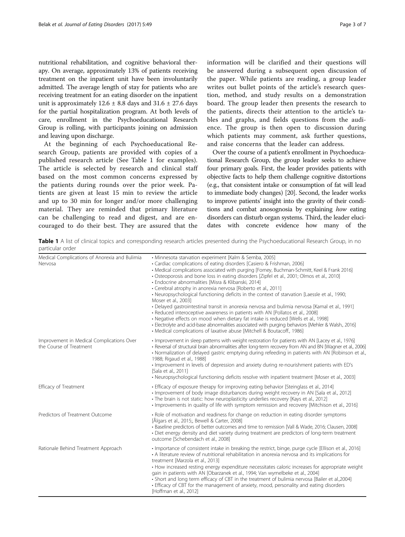nutritional rehabilitation, and cognitive behavioral therapy. On average, approximately 13% of patients receiving treatment on the inpatient unit have been involuntarily admitted. The average length of stay for patients who are receiving treatment for an eating disorder on the inpatient unit is approximately  $12.6 \pm 8.8$  days and  $31.6 \pm 27.6$  days for the partial hospitalization program. At both levels of care, enrollment in the Psychoeducational Research Group is rolling, with participants joining on admission and leaving upon discharge.

At the beginning of each Psychoeducational Research Group, patients are provided with copies of a published research article (See Table 1 for examples). The article is selected by research and clinical staff based on the most common concerns expressed by the patients during rounds over the prior week. Patients are given at least 15 min to review the article and up to 30 min for longer and/or more challenging material. They are reminded that primary literature can be challenging to read and digest, and are encouraged to do their best. They are assured that the

information will be clarified and their questions will be answered during a subsequent open discussion of the paper. While patients are reading, a group leader writes out bullet points of the article's research question, method, and study results on a demonstration board. The group leader then presents the research to the patients, directs their attention to the article's tables and graphs, and fields questions from the audience. The group is then open to discussion during which patients may comment, ask further questions, and raise concerns that the leader can address.

Over the course of a patient's enrollment in Psychoeducational Research Group, the group leader seeks to achieve four primary goals. First, the leader provides patients with objective facts to help them challenge cognitive distortions (e.g., that consistent intake or consumption of fat will lead to immediate body changes) [\[20\]](#page-6-0). Second, the leader works to improve patients' insight into the gravity of their conditions and combat anosognosia by explaining how eating disorders can disturb organ systems. Third, the leader elucidates with concrete evidence how many of the

Table 1 A list of clinical topics and corresponding research articles presented during the Psychoeducational Research Group, in no particular order

| Medical Complications of Anorexia and Bulimia<br>Nervosa             | · Minnesota starvation experiment [Kalm & Semba, 2005]<br>• Cardiac complications of eating disorders [Casiero & Frishman, 2006]<br>• Medical complications associated with purging [Forney, Buchman-Schmitt, Keel & Frank 2016]<br>· Osteoporosis and bone loss in eating disorders [Zipfel et al., 2001; Olmos et al., 2010]<br>· Endocrine abnormalities [Misra & Klibanski, 2014]<br>• Cerebral atrophy in anorexia nervosa [Roberto et al., 2011]<br>• Neuropsychological functioning deficits in the context of starvation [Laessle et al., 1990;<br>Moser et al., 2003]<br>• Delayed gastrointestinal transit in anorexia nervosa and bulimia nervosa [Kamal et al., 1991]<br>• Reduced interoceptive awareness in patients with AN [Pollatos et al., 2008]<br>• Negative effects on mood when dietary fat intake is reduced [Wells et al., 1998]<br>· Electrolyte and acid-base abnormalities associated with purging behaviors [Mehler & Walsh., 2016]<br>• Medical complications of laxative abuse [Mitchell & Boutacoff., 1986] |
|----------------------------------------------------------------------|--------------------------------------------------------------------------------------------------------------------------------------------------------------------------------------------------------------------------------------------------------------------------------------------------------------------------------------------------------------------------------------------------------------------------------------------------------------------------------------------------------------------------------------------------------------------------------------------------------------------------------------------------------------------------------------------------------------------------------------------------------------------------------------------------------------------------------------------------------------------------------------------------------------------------------------------------------------------------------------------------------------------------------------------|
| Improvement in Medical Complications Over<br>the Course of Treatment | · Improvement in sleep patterns with weight restoration for patients with AN [Lacey et al., 1976]<br>· Reversal of structural brain abnormalities after long-term recovery from AN and BN [Wagner et al., 2006]<br>• Normalization of delayed gastric emptying during refeeding in patients with AN [Robinson et al.,<br>1988; Rigaud et al., 1988]<br>· Improvement in levels of depression and anxiety during re-nourishment patients with ED's<br>[Sala et al., 2011]<br>• Neuropsychological functioning deficits resolve with inpatient treatment [Moser et al., 2003]                                                                                                                                                                                                                                                                                                                                                                                                                                                                |
| Efficacy of Treatment                                                | • Efficacy of exposure therapy for improving eating behavior [Steinglass et al., 2014]<br>· Improvement of body image disturbances during weight recovery in AN [Sala et al., 2012]<br>• The brain is not static: how neuroplasticity underlies recovery [Kays et al., 2012]<br>· Improvements in quality of life with symptom remission and recovery [Mitchison et al., 2016]                                                                                                                                                                                                                                                                                                                                                                                                                                                                                                                                                                                                                                                             |
| Predictors of Treatment Outcome                                      | · Role of motivation and readiness for change on reduction in eating disorder symptoms<br>[Ålgars et al., 2015;, Bewell & Carter, 2008]<br>· Baseline predictors of better outcomes and time to remission [Vall & Wade, 2016; Clausen, 2008]<br>· Diet energy density and diet variety during treatment are predictors of long-term treatment<br>outcome [Schebendach et al., 2008]                                                                                                                                                                                                                                                                                                                                                                                                                                                                                                                                                                                                                                                        |
| Rationale Behind Treatment Approach                                  | · Importance of consistent intake in breaking the restrict, binge, purge cycle [Ellison et al., 2016]<br>• A literature review of nutritional rehabilitation in anorexia nervosa and its implications for<br>treatment [Marzola et al., 2013]<br>• How increased resting energy expenditure necessitates caloric increases for appropriate weight<br>gain in patients with AN [Obarzanek et al., 1994; Van wymelbeke et al., 2004]<br>· Short and long term efficacy of CBT in the treatment of bulimia nervosa [Bailer et al.,2004]<br>• Efficacy of CBT for the management of anxiety, mood, personality and eating disorders<br>[Hoffman et al., 2012]                                                                                                                                                                                                                                                                                                                                                                                  |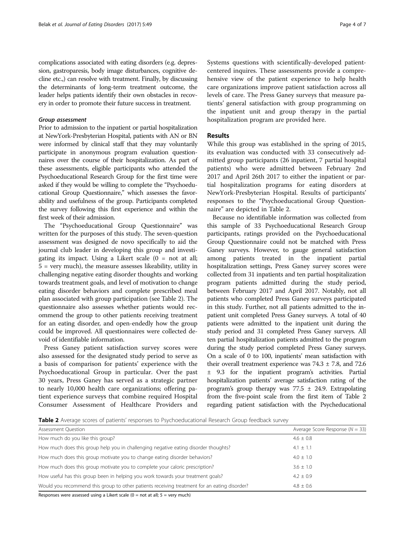complications associated with eating disorders (e.g. depression, gastroparesis, body image disturbances, cognitive decline etc.,) can resolve with treatment. Finally, by discussing the determinants of long-term treatment outcome, the leader helps patients identify their own obstacles in recovery in order to promote their future success in treatment.

## Group assessment

Prior to admission to the inpatient or partial hospitalization at NewYork-Presbyterian Hospital, patients with AN or BN were informed by clinical staff that they may voluntarily participate in anonymous program evaluation questionnaires over the course of their hospitalization. As part of these assessments, eligible participants who attended the Psychoeducational Research Group for the first time were asked if they would be willing to complete the "Psychoeducational Group Questionnaire," which assesses the favorability and usefulness of the group. Participants completed the survey following this first experience and within the first week of their admission.

The "Psychoeducational Group Questionnaire" was written for the purposes of this study. The seven-question assessment was designed de novo specifically to aid the journal club leader in developing this group and investigating its impact. Using a Likert scale  $(0 = not at all;$  $5$  = very much), the measure assesses likeability, utility in challenging negative eating disorder thoughts and working towards treatment goals, and level of motivation to change eating disorder behaviors and complete prescribed meal plan associated with group participation (see Table 2). The questionnaire also assesses whether patients would recommend the group to other patients receiving treatment for an eating disorder, and open-endedly how the group could be improved. All questionnaires were collected devoid of identifiable information.

Press Ganey patient satisfaction survey scores were also assessed for the designated study period to serve as a basis of comparison for patients' experience with the Psychoeducational Group in particular. Over the past 30 years, Press Ganey has served as a strategic partner to nearly 10,000 health care organizations; offering patient experience surveys that combine required Hospital Consumer Assessment of Healthcare Providers and Systems questions with scientifically-developed patientcentered inquires. These assessments provide a comprehensive view of the patient experience to help health care organizations improve patient satisfaction across all levels of care. The Press Ganey surveys that measure patients' general satisfaction with group programming on the inpatient unit and group therapy in the partial hospitalization program are provided here.

## Results

While this group was established in the spring of 2015, its evaluation was conducted with 33 consecutively admitted group participants (26 inpatient, 7 partial hospital patients) who were admitted between February 2nd 2017 and April 26th 2017 to either the inpatient or partial hospitalization programs for eating disorders at NewYork-Presbyterian Hospital. Results of participants' responses to the "Psychoeducational Group Questionnaire" are depicted in Table 2.

Because no identifiable information was collected from this sample of 33 Psychoeducational Research Group participants, ratings provided on the Psychoeducational Group Questionnaire could not be matched with Press Ganey surveys. However, to gauge general satisfaction among patients treated in the inpatient partial hospitalization settings, Press Ganey survey scores were collected from 31 inpatients and ten partial hospitalization program patients admitted during the study period, between February 2017 and April 2017. Notably, not all patients who completed Press Ganey surveys participated in this study. Further, not all patients admitted to the inpatient unit completed Press Ganey surveys. A total of 40 patients were admitted to the inpatient unit during the study period and 31 completed Press Ganey surveys. All ten partial hospitalization patients admitted to the program during the study period completed Press Ganey surveys. On a scale of 0 to 100, inpatients' mean satisfaction with their overall treatment experience was  $74.3 \pm 7.8$ , and  $72.6$ ± 9.3 for the inpatient program's activities. Partial hospitalization patients' average satisfaction rating of the program's group therapy was  $77.5 \pm 24.9$ . Extrapolating from the five-point scale from the first item of Table 2 regarding patient satisfaction with the Psycheducational

**Table 2** Average scores of patients' responses to Psychoeducational Research Group feedback survey

| Assessment Question                                                                          | Average Score Response ( $N = 33$ ) |
|----------------------------------------------------------------------------------------------|-------------------------------------|
| How much do you like this group?                                                             | $4.6 \pm 0.8$                       |
| How much does this group help you in challenging negative eating disorder thoughts?          | $4.1 \pm 1.1$                       |
| How much does this group motivate you to change eating disorder behaviors?                   | $4.0 \pm 1.0$                       |
| How much does this group motivate you to complete your caloric prescription?                 | $3.6 \pm 1.0$                       |
| How useful has this group been in helping you work towards your treatment goals?             | $4.2 + 0.9$                         |
| Would you recommend this group to other patients receiving treatment for an eating disorder? | $4.8 + 0.6$                         |
| $\blacksquare$                                                                               |                                     |

Responses were assessed using a Likert scale ( $0 =$  not at all;  $5 =$  very much)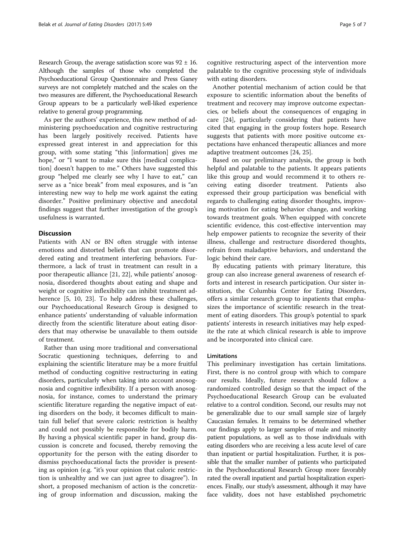Research Group, the average satisfaction score was  $92 \pm 16$ . Although the samples of those who completed the Psychoeducational Group Questionnaire and Press Ganey surveys are not completely matched and the scales on the two measures are different, the Psychoeducational Research Group appears to be a particularly well-liked experience relative to general group programming.

As per the authors' experience, this new method of administering psychoeducation and cognitive restructuring has been largely positively received. Patients have expressed great interest in and appreciation for this group, with some stating "this [information] gives me hope," or "I want to make sure this [medical complication] doesn't happen to me." Others have suggested this group "helped me clearly see why I have to eat," can serve as a "nice break" from meal exposures, and is "an interesting new way to help me work against the eating disorder." Positive preliminary objective and anecdotal findings suggest that further investigation of the group's usefulness is warranted.

## **Discussion**

Patients with AN or BN often struggle with intense emotions and distorted beliefs that can promote disordered eating and treatment interfering behaviors. Furthermore, a lack of trust in treatment can result in a poor therapeutic alliance [\[21](#page-6-0), [22](#page-6-0)], while patients' anosognosia, disordered thoughts about eating and shape and weight or cognitive inflexibility can inhibit treatment ad-herence [[5, 10,](#page-5-0) [23](#page-6-0)]. To help address these challenges, our Psychoeducational Research Group is designed to enhance patients' understanding of valuable information directly from the scientific literature about eating disorders that may otherwise be unavailable to them outside of treatment.

Rather than using more traditional and conversational Socratic questioning techniques, deferring to and explaining the scientific literature may be a more fruitful method of conducting cognitive restructuring in eating disorders, particularly when taking into account anosognosia and cognitive inflexibility. If a person with anosognosia, for instance, comes to understand the primary scientific literature regarding the negative impact of eating disorders on the body, it becomes difficult to maintain full belief that severe caloric restriction is healthy and could not possibly be responsible for bodily harm. By having a physical scientific paper in hand, group discussion is concrete and focused, thereby removing the opportunity for the person with the eating disorder to dismiss psychoeducational facts the provider is presenting as opinion (e.g. "it's your opinion that caloric restriction is unhealthy and we can just agree to disagree"). In short, a proposed mechanism of action is the concretizing of group information and discussion, making the

cognitive restructuring aspect of the intervention more palatable to the cognitive processing style of individuals with eating disorders.

Another potential mechanism of action could be that exposure to scientific information about the benefits of treatment and recovery may improve outcome expectancies, or beliefs about the consequences of engaging in care [\[24\]](#page-6-0), particularly considering that patients have cited that engaging in the group fosters hope. Research suggests that patients with more positive outcome expectations have enhanced therapeutic alliances and more adaptive treatment outcomes [\[24, 25\]](#page-6-0).

Based on our preliminary analysis, the group is both helpful and palatable to the patients. It appears patients like this group and would recommend it to others receiving eating disorder treatment. Patients also expressed their group participation was beneficial with regards to challenging eating disorder thoughts, improving motivation for eating behavior change, and working towards treatment goals. When equipped with concrete scientific evidence, this cost-effective intervention may help empower patients to recognize the severity of their illness, challenge and restructure disordered thoughts, refrain from maladaptive behaviors, and understand the logic behind their care.

By educating patients with primary literature, this group can also increase general awareness of research efforts and interest in research participation. Our sister institution, the Columbia Center for Eating Disorders, offers a similar research group to inpatients that emphasizes the importance of scientific research in the treatment of eating disorders. This group's potential to spark patients' interests in research initiatives may help expedite the rate at which clinical research is able to improve and be incorporated into clinical care.

## Limitations

This preliminary investigation has certain limitations. First, there is no control group with which to compare our results. Ideally, future research should follow a randomized controlled design so that the impact of the Psychoeducational Research Group can be evaluated relative to a control condition. Second, our results may not be generalizable due to our small sample size of largely Caucasian females. It remains to be determined whether our findings apply to larger samples of male and minority patient populations, as well as to those individuals with eating disorders who are receiving a less acute level of care than inpatient or partial hospitalization. Further, it is possible that the smaller number of patients who participated in the Psychoeducational Research Group more favorably rated the overall inpatient and partial hospitalization experiences. Finally, our study's assessment, although it may have face validity, does not have established psychometric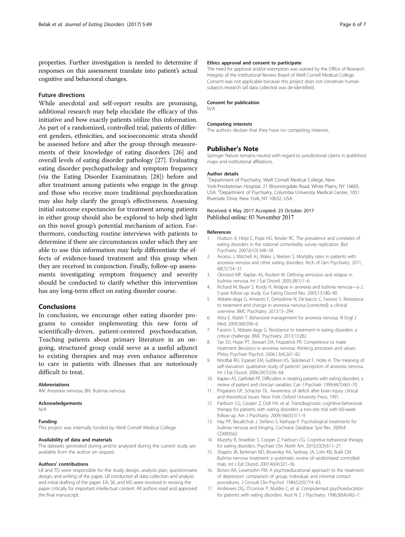<span id="page-5-0"></span>properties. Further investigation is needed to determine if responses on this assessment translate into patient's actual cognitive and behavioral changes.

## Future directions

While anecdotal and self-report results are promising, additional research may help elucidate the efficacy of this initiative and how exactly patients utilize this information. As part of a randomized, controlled trial, patients of different genders, ethnicities, and socioeconomic strata should be assessed before and after the group through measurements of their knowledge of eating disorders [[26](#page-6-0)] and overall levels of eating disorder pathology [\[27\]](#page-6-0). Evaluating eating disorder psychopathology and symptom frequency (via the Eating Disorder Examination; [[28](#page-6-0)]) before and after treatment among patients who engage in the group and those who receive more traditional psychoeducation may also help clarify the group's effectiveness. Assessing initial outcome expectancies for treatment among patients in either group should also be explored to help shed light on this novel group's potential mechanism of action. Furthermore, conducting routine interviews with patients to determine if there are circumstances under which they are able to use this information may help differentiate the effects of evidence-based treatment and this group when they are received in conjunction. Finally, follow-up assessments investigating symptom frequency and severity should be conducted to clarify whether this intervention has any long-term effect on eating disorder course.

## Conclusions

In conclusion, we encourage other eating disorder programs to consider implementing this new form of scientifically-driven, patient-centered psychoeducation. Teaching patients about primary literature in an ongoing, structured group could serve as a useful adjunct to existing therapies and may even enhance adherence to care in patients with illnesses that are notoriously difficult to treat.

#### Abbreviations

AN: Anorexia nervosa; BN: Bulimia nervosa

#### Acknowledgements

N/A

## Funding

This project was internally funded by Weill Cornell Medical College.

#### Availability of data and materials

The datasets generated during and/or analyzed during the current study are available from the author on request.

#### Authors' contributions

LB and TD were responsible for the study design, analysis plan, questionnaire design, and writing of the paper. LB conducted all data collection and analysis and initial drafting of the paper. EA, SK, and MS were involved in revising the paper critically for important intellectual content. All authors read and approved the final manuscript.

### Ethics approval and consent to participate

The need for approval and/or exemption was waived by the Office of Research Integrity of the Institutional Review Board of Weill Cornell Medical College. Consent was not applicable because this project does not constitute human subjects research (all data collected was de-identified).

#### Consent for publication

N/A

#### Competing interests

The authors declare that they have no competing interests.

## Publisher's Note

Springer Nature remains neutral with regard to jurisdictional claims in published maps and institutional affiliations.

#### Author details

<sup>1</sup> Department of Psychiatry, Weill Cornell Medical College, New York-Presbyterian Hospital, 21 Bloomingdale Road, White Plains, NY 10605, USA. <sup>2</sup> Department of Psychiatry, Columbia University Medical Center, 1051 Riverside Drive, New York, NY 10032, USA.

## Received: 6 May 2017 Accepted: 25 October 2017 Published online: 03 November 2017

#### References

- 1. Hudson JI, Hiripi E, Pope HG, Kessler RC. The prevalence and correlates of eating disorders in the national comorbidity survey replication. Biol Psychiatry. 2007;61(3):348–58.
- 2. Arcelus J, Mitchell AJ, Wales J, Nielsen S. Mortality rates in patients with anorexia nervosa and other eating disorders. Arch of Gen Psychiatry. 2011; 68(7):724–31.
- 3. Olmsted MP, Kaplan AS, Rockert W. Defining remission and relapse in bulimia nervosa. Int J Eat Disord. 2005;38(1):1–6.
- 4. Richard M, Bauer S, Kordy H. Relapse in anorexia and bulimia nervosa—a 2. 5-year follow-up study. Eur Eating Disord Rev. 2005;13:180–90.
- 5. Abbate-daga G, Amianto F, Delsedime N, De-bacco C, Fassino S. Resistance to treatment and change in anorexia nervosa [corrected]: a clinical overview. BMC Psychiatry. 2013:13–294.
- 6. Attia E, Walsh T. Behavioral management for anorexia nervosa. N Engl J Med. 2009;360:500–6.
- 7. Fassino S, Abbate-daga G. Resistance to treatment in eating disorders: a critical challenge. BMC Psychiatry. 2013;13:282.
- 8. Tan DJ, Hope PT, Stewart DA, Fitzpatrick PR. Competence to make treatment decisions in anorexia nervosa: thinking processes and values. Philos Psychiatr Psychol. 2006;13(4):267–82.
- 9. Nordbø RH, Espeset EM, Gulliksen KS, Skårderud F, Holte A. The meaning of self-starvation: qualitative study of patients' perception of anorexia nervosa. Int J Eat Disord. 2006;39(7):556–64.
- 10. Kaplan AS, Garfinkel PE. Difficulties in treating patients with eating disorders: a review of patient and clinician variables. Can J Psychiatr. 1999;44(7):665–70.
- 11. Prigatano GP, Schacter DL. Awareness of deficit after brain injury: clinical and theoretical issues. New York: Oxford University Press; 1991.
- 12. Fairburn CG, Cooper Z, Doll HA, et al. Transdiagnostic cognitive-behavioral therapy for patients with eating disorders: a two-site trial with 60-week follow-up. Am J Psychiatry. 2009;166(3):311–9.
- 13. Hay PP, Bacaltchuk J, Stefano S, Kashyap P. Psychological treatments for bulimia nervosa and binging. Cochrane Database Syst Rev. 2009;4: CD000562.
- 14. Murphy R, Straebler S, Cooper Z, Fairburn CG. Cognitive behavioral therapy for eating disorders. Psychiatr Clin North Am. 2010;33(3):611–27.
- 15. Shapiro JR, Berkman ND, Brownley KA, Sedway JA, Lohr KN, Bulik CM. Bulimia nervosa treatment: a systematic review of randomized controlled trials. Int J Eat Disord. 2007;40(4):321–36.
- 16. Brown RA, Lewinsohn PM. A psychoeducational approach to the treatment of depression: comparison of group, individual, and minimal contact procedures. J Consult Clin Psychol. 1984;52(5):774–83.
- 17. Andrewes DG, O'connor P, Mulder C, et al. Computerised psychoeducation for patients with eating disorders. Aust N Z J Psychiatry. 1996;30(4):492–7.